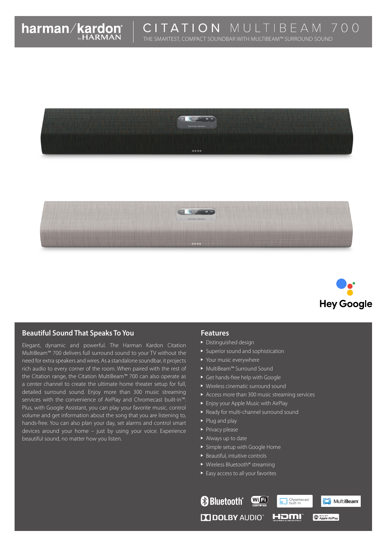





# **Beautiful Sound That Speaks To You**

Elegant, dynamic and powerful. The Harman Kardon Citation MultiBeam™ 700 delivers full surround sound to your TV without the need for extra speakers and wires. As a standalone soundbar, it projects rich audio to every corner of the room. When paired with the rest of the Citation range, the Citation MultiBeam™ 700 can also operate as a center channel to create the ultimate home theater setup for full, detailed surround sound. Enjoy more than 300 music streaming services with the convenience of AirPlay and Chromecast built-in™. Plus, with Google Assistant, you can play your favorite music, control volume and get information about the song that you are listening to, hands-free. You can also plan your day, set alarms and control smart devices around your home – just by using your voice. Experience beautiful sound, no matter how you listen.

### **Features**

- Distinguished design
- **>** Superior sound and sophistication
- Your music everywhere
- MultiBeam™ Surround Sound
- Get hands-free help with Google
- Wireless cinematic surround sound
- Access more than 300 music streaming services
- **Enjoy your Apple Music with AirPlay**
- Ready for multi-channel surround sound
- Plug and play
- $\blacktriangleright$  Privacy please
- Always up to date
- Simple setup with Google Home
- $\blacktriangleright$  Beautiful, intuitive controls
- ▶ Wireless Bluetooth® streaming
- ▶ Easy access to all your favorites